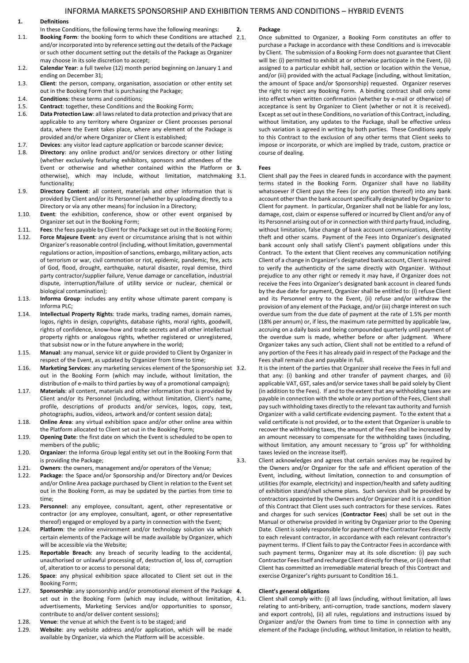## **1. Definitions**

- In these Conditions, the following terms have the following meanings:
- 1.1. **Booking Form**: the booking form to which these Conditions are attached 2.1. and/or incorporated into by reference setting out the details of the Package or such other document setting out the details of the Package as Organizer may choose in its sole discretion to accept;
- 1.2. **Calendar Year**: a full twelve (12) month period beginning on January 1 and ending on December 31;
- 1.3. **Client**: the person, company, organisation, association or other entity set out in the Booking Form that is purchasing the Package;
- 1.4. **Conditions**: these terms and conditions;
- 1.5. **Contract**: together, these Conditions and the Booking Form;
- 1.6. **Data Protection Law**: all laws related to data protection and privacy that are applicable to any territory where Organizer or Client processes personal data, where the Event takes place, where any element of the Package is provided and/or where Organizer or Client is established;
- 1.7. **Devices**: any visitor lead capture application or barcode scanner device;
- 1.8. **Directory**: any online product and/or services directory or other listing (whether exclusively featuring exhibitors, sponsors and attendees of the Event or otherwise and whether contained within the Platform or 3. otherwise), which may include, without limitation, matchmaking 3.1. functionality;
- 1.9. **Directory Content**: all content, materials and other information that is provided by Client and/or its Personnel (whether by uploading directly to a Directory or via any other means) for inclusion in a Directory;
- 1.10. **Event**: the exhibition, conference, show or other event organised by Organizer set out in the Booking Form;
- 1.11. **Fees**: the fees payable by Client for the Package set out in the Booking Form;
- Force Majeure Event: any event or circumstance arising that is not within Organizer's reasonable control (including, without limitation, governmental regulations or action, imposition of sanctions, embargo, military action, acts of terrorism or war, civil commotion or riot, epidemic, pandemic, fire, acts of God, flood, drought, earthquake, natural disaster, royal demise, third party contractor/supplier failure, Venue damage or cancellation, industrial dispute, interruption/failure of utility service or nuclear, chemical or biological contamination);
- 1.13. **Informa Group**: includes any entity whose ultimate parent company is Informa PLC;
- 1.14. **Intellectual Property Rights**: trade marks, trading names, domain names, logos, rights in design, copyrights, database rights, moral rights, goodwill, rights of confidence, know-how and trade secrets and all other intellectual property rights or analogous rights, whether registered or unregistered, that subsist now or in the future anywhere in the world;
- 1.15. **Manual**: any manual, service kit or guide provided to Client by Organizer in respect of the Event, as updated by Organizer from time to time;
- 1.16. **Marketing Services**: any marketing services element of the Sponsorship set out in the Booking Form (which may include, without limitation, the distribution of e-mails to third parties by way of a promotional campaign);
- 1.17. **Materials**: all content, materials and other information that is provided by Client and/or its Personnel (including, without limitation, Client's name, profile, descriptions of products and/or services, logos, copy, text, photographs, audios, videos, artwork and/or content session data);
- 1.18. **Online Area**: any virtual exhibition space and/or other online area within the Platform allocated to Client set out in the Booking Form;
- 1.19. **Opening Date**: the first date on which the Event is scheduled to be open to members of the public;
- 1.20. **Organizer**: the Informa Group legal entity set out in the Booking Form that is providing the Package;
- 1.21. **Owners**: the owners, management and/or operators of the Venue;
- 1.22. **Package**: the Space and/or Sponsorship and/or Directory and/or Devices and/or Online Area package purchased by Client in relation to the Event set out in the Booking Form, as may be updated by the parties from time to time;
- 1.23. **Personnel**: any employee, consultant, agent, other representative or contractor (or any employee, consultant, agent, or other representative thereof) engaged or employed by a party in connection with the Event;
- 1.24. **Platform**: the online environment and/or technology solution via which certain elements of the Package will be made available by Organizer, which will be accessible via the Website;
- 1.25. **Reportable Breach**: any breach of security leading to the accidental, unauthorised or unlawful processing of, destruction of, loss of, corruption of, alteration to or access to personal data;
- 1.26. **Space**: any physical exhibition space allocated to Client set out in the Booking Form;
- 1.27. **Sponsorship**: any sponsorship and/or promotional element of the Package set out in the Booking Form (which may include, without limitation, 4.1. advertisements, Marketing Services and/or opportunities to sponsor, contribute to and/or deliver content sessions);
- 1.28. **Venue**: the venue at which the Event is to be staged; and
- 1.29. **Website**: any website address and/or application, which will be made available by Organizer, via which the Platform will be accessible.

#### **2. Package**

2.1. Once submitted to Organizer, a Booking Form constitutes an offer to purchase a Package in accordance with these Conditions and is irrevocable by Client. The submission of a Booking Form does not guarantee that Client will be: (i) permitted to exhibit at or otherwise participate in the Event, (ii) assigned to a particular exhibit hall, section or location within the Venue, and/or (iii) provided with the actual Package (including, without limitation, the amount of Space and/or Sponsorship) requested. Organizer reserves the right to reject any Booking Form. A binding contract shall only come into effect when written confirmation (whether by e-mail or otherwise) of acceptance is sent by Organizer to Client (whether or not it is received). Except as set out in these Conditions, no variation of this Contract, including, without limitation, any updates to the Package, shall be effective unless such variation is agreed in writing by both parties. These Conditions apply to this Contract to the exclusion of any other terms that Client seeks to impose or incorporate, or which are implied by trade, custom, practice or course of dealing.

#### **3. Fees**

- Client shall pay the Fees in cleared funds in accordance with the payment terms stated in the Booking Form. Organizer shall have no liability whatsoever if Client pays the Fees (or any portion thereof) into any bank account other than the bank account specifically designated by Organizer to Client for payment. In particular, Organizer shall not be liable for any loss, damage, cost, claim or expense suffered or incurred by Client and/or any of its Personnel arising out of or in connection with third party fraud, including, without limitation, false change of bank account communications, identity theft and other scams. Payment of the Fees into Organizer's designated bank account only shall satisfy Client's payment obligations under this Contract. To the extent that Client receives any communication notifying Client of a change in Organizer's designated bank account, Client is required to verify the authenticity of the same directly with Organizer. Without prejudice to any other right or remedy it may have, if Organizer does not receive the Fees into Organizer's designated bank account in cleared funds by the due date for payment, Organizer shall be entitled to: (i) refuse Client and its Personnel entry to the Event, (ii) refuse and/or withdraw the provision of any element of the Package, and/or (iii) charge interest on such overdue sum from the due date of payment at the rate of 1.5% per month (18% per annum) or, if less, the maximum rate permitted by applicable law, accruing on a daily basis and being compounded quarterly until payment of the overdue sum is made, whether before or after judgment. Where Organizer takes any such action, Client shall not be entitled to a refund of any portion of the Fees it has already paid in respect of the Package and the Fees shall remain due and payable in full.
- It is the intent of the parties that Organizer shall receive the Fees in full and that any: (i) banking and other transfer of payment charges, and (ii) applicable VAT, GST, sales and/or service taxes shall be paid solely by Client (in addition to the Fees). If and to the extent that any withholding taxes are payable in connection with the whole or any portion of the Fees, Client shall pay such withholding taxes directly to the relevant tax authority and furnish Organizer with a valid certificate evidencing payment. To the extent that a valid certificate is not provided, or to the extent that Organizer is unable to recover the withholding taxes, the amount of the Fees shall be increased by an amount necessary to compensate for the withholding taxes (including, without limitation, any amount necessary to "gross up" for withholding taxes levied on the increase itself).

3.3. Client acknowledges and agrees that certain services may be required by the Owners and/or Organizer for the safe and efficient operation of the Event, including, without limitation, connection to and consumption of utilities (for example, electricity) and inspection/health and safety auditing of exhibition stand/shell scheme plans. Such services shall be provided by contractors appointed by the Owners and/or Organizer and it is a condition of this Contract that Client uses such contractors for these services. Rates and charges for such services (**Contractor Fees**) shall be set out in the Manual or otherwise provided in writing by Organizer prior to the Opening Date. Client is solely responsible for payment of the Contractor Fees directly to each relevant contractor, in accordance with each relevant contractor's payment terms. If Client fails to pay the Contractor Fees in accordance with such payment terms, Organizer may at its sole discretion: (i) pay such Contractor Fees itself and recharge Client directly for these, or (ii) deem that Client has committed an irremediable material breach of this Contract and exercise Organizer's rights pursuant to Condition 16.1.

## **4. Client's general obligations**

Client shall comply with: (i) all laws (including, without limitation, all laws relating to anti-bribery, anti-corruption, trade sanctions, modern slavery and export controls), (ii) all rules, regulations and instructions issued by Organizer and/or the Owners from time to time in connection with any element of the Package (including, without limitation, in relation to health,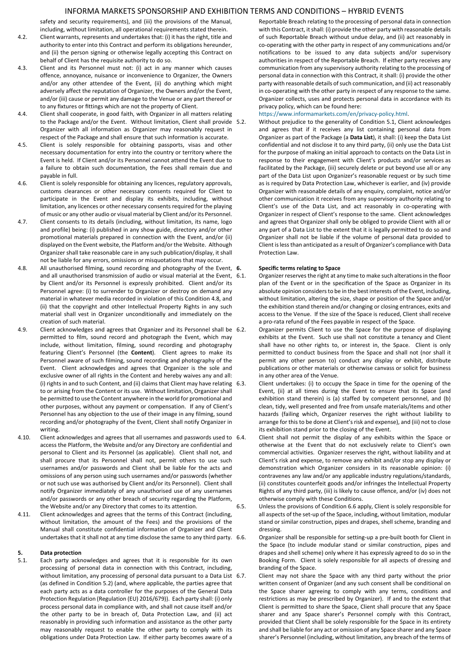safety and security requirements), and (iii) the provisions of the Manual, including, without limitation, all operational requirements stated therein.

- 4.2. Client warrants, represents and undertakes that: (i) it has the right, title and authority to enter into this Contract and perform its obligations hereunder, and (ii) the person signing or otherwise legally accepting this Contract on behalf of Client has the requisite authority to do so.
- 4.3. Client and its Personnel must not: (i) act in any manner which causes offence, annoyance, nuisance or inconvenience to Organizer, the Owners and/or any other attendee of the Event, (ii) do anything which might adversely affect the reputation of Organizer, the Owners and/or the Event, and/or (iii) cause or permit any damage to the Venue or any part thereof or to any fixtures or fittings which are not the property of Client.
- 4.4. Client shall cooperate, in good faith, with Organizer in all matters relating to the Package and/or the Event. Without limitation, Client shall provide Organizer with all information as Organizer may reasonably request in respect of the Package and shall ensure that such information is accurate.
- 4.5. Client is solely responsible for obtaining passports, visas and other necessary documentation for entry into the country or territory where the Event is held. If Client and/or its Personnel cannot attend the Event due to a failure to obtain such documentation, the Fees shall remain due and payable in full.
- 4.6. Client is solely responsible for obtaining any licences, regulatory approvals, customs clearances or other necessary consents required for Client to participate in the Event and display its exhibits, including, without limitation, any licences or other necessary consents required for the playing of music or any other audio or visual material by Client and/or its Personnel.
- 4.7. Client consents to its details (including, without limitation, its name, logo and profile) being: (i) published in any show guide, directory and/or other promotional materials prepared in connection with the Event, and/or (ii) displayed on the Event website, the Platform and/or the Website. Although Organizer shall take reasonable care in any such publication/display, it shall not be liable for any errors, omissions or misquotations that may occur.
- 4.8. All unauthorised filming, sound recording and photography of the Event, 6. and all unauthorised transmission of audio or visual material at the Event, 6.1. by Client and/or its Personnel is expressly prohibited. Client and/or its Personnel agree: (i) to surrender to Organizer or destroy on demand any material in whatever media recorded in violation of this Condition 4.8, and (ii) that the copyright and other Intellectual Property Rights in any such material shall vest in Organizer unconditionally and immediately on the creation of such material.
- 4.9. Client acknowledges and agrees that Organizer and its Personnel shall be 6.2. permitted to film, sound record and photograph the Event, which may include, without limitation, filming, sound recording and photography featuring Client's Personnel (the **Content**). Client agrees to make its Personnel aware of such filming, sound recording and photography of the Event. Client acknowledges and agrees that Organizer is the sole and exclusive owner of all rights in the Content and hereby waives any and all: (i) rights in and to such Content, and (ii) claims that Client may have relating to or arising from the Content or its use. Without limitation, Organizer shall be permitted to use the Content anywhere in the world for promotional and other purposes, without any payment or compensation. If any of Client's Personnel has any objection to the use of their image in any filming, sound recording and/or photography of the Event, Client shall notify Organizer in writing.
- 4.10. Client acknowledges and agrees that all usernames and passwords used to 6.4. access the Platform, the Website and/or any Directory are confidential and personal to Client and its Personnel (as applicable). Client shall not, and shall procure that its Personnel shall not, permit others to use such usernames and/or passwords and Client shall be liable for the acts and omissions of any person using such usernames and/or passwords (whether or not such use was authorised by Client and/or its Personnel). Client shall notify Organizer immediately of any unauthorised use of any usernames and/or passwords or any other breach of security regarding the Platform, the Website and/or any Directory that comes to its attention.
- 4.11. Client acknowledges and agrees that the terms of this Contract (including, without limitation, the amount of the Fees) and the provisions of the Manual shall constitute confidential information of Organizer and Client undertakes that it shall not at any time disclose the same to any third party. 6.6.

# **5. Data protection**

5.1. Each party acknowledges and agrees that it is responsible for its own processing of personal data in connection with this Contract, including, without limitation, any processing of personal data pursuant to a Data List 6.7. (as defined in Condition 5.2) (and, where applicable, the parties agree that each party acts as a data controller for the purposes of the General Data Protection Regulation (Regulation (EU) 2016/679)). Each party shall: (i) only process personal data in compliance with, and shall not cause itself and/or the other party to be in breach of, Data Protection Law, and (ii) act reasonably in providing such information and assistance as the other party may reasonably request to enable the other party to comply with its obligations under Data Protection Law. If either party becomes aware of a

Reportable Breach relating to the processing of personal data in connection with this Contract, it shall: (i) provide the other party with reasonable details of such Reportable Breach without undue delay, and (ii) act reasonably in co-operating with the other party in respect of any communications and/or notifications to be issued to any data subjects and/or supervisory authorities in respect of the Reportable Breach. If either party receives any communication from any supervisory authority relating to the processing of personal data in connection with this Contract, it shall: (i) provide the other party with reasonable details of such communication, and (ii) act reasonably in co-operating with the other party in respect of any response to the same. Organizer collects, uses and protects personal data in accordance with its privacy policy, which can be found here:

#### [https://www.informamarkets.com/en/privacy-policy.html.](https://www.informamarkets.com/en/privacy-policy.html)

5.2. Without prejudice to the generality of Condition 5.1, Client acknowledges and agrees that if it receives any list containing personal data from Organizer as part of the Package (a **Data List**), it shall: (i) keep the Data List confidential and not disclose it to any third party, (ii) only use the Data List for the purpose of making an initial approach to contacts on the Data List in response to their engagement with Client's products and/or services as facilitated by the Package, (iii) securely delete or put beyond use all or any part of the Data List upon Organizer's reasonable request or by such time as is required by Data Protection Law, whichever is earlier, and (iv) provide Organizer with reasonable details of any enquiry, complaint, notice and/or other communication it receives from any supervisory authority relating to Client's use of the Data List, and act reasonably in co-operating with Organizer in respect of Client's response to the same. Client acknowledges and agrees that Organizer shall only be obliged to provide Client with all or any part of a Data List to the extent that it is legally permitted to do so and Organizer shall not be liable if the volume of personal data provided to Client is less than anticipated as a result of Organizer's compliance with Data Protection Law.

## **6. Specific terms relating to Space**

Organizer reserves the right at any time to make such alterations in the floor plan of the Event or in the specification of the Space as Organizer in its absolute opinion considers to be in the best interests of the Event, including, without limitation, altering the size, shape or position of the Space and/or the exhibition stand therein and/or changing or closing entrances, exits and access to the Venue. If the size of the Space is reduced, Client shall receive a pro-rata refund of the Fees payable in respect of the Space.

- 6.2. Organizer permits Client to use the Space for the purpose of displaying exhibits at the Event. Such use shall not constitute a tenancy and Client shall have no other rights to, or interest in, the Space. Client is only permitted to conduct business from the Space and shall not (nor shall it permit any other person to) conduct any display or exhibit, distribute publications or other materials or otherwise canvass or solicit for business in any other area of the Venue.
- Client undertakes: (i) to occupy the Space in time for the opening of the Event, (ii) at all times during the Event to ensure that its Space (and exhibition stand therein) is (a) staffed by competent personnel, and (b) clean, tidy, well presented and free from unsafe materials/items and other hazards (failing which, Organizer reserves the right without liability to arrange for this to be done at Client's risk and expense), and (iii) not to close its exhibition stand prior to the closing of the Event.
- Client shall not permit the display of any exhibits within the Space or otherwise at the Event that do not exclusively relate to Client's own commercial activities. Organizer reserves the right, without liability and at Client's risk and expense, to remove any exhibit and/or stop any display or demonstration which Organizer considers in its reasonable opinion: (i) contravenes any law and/or any applicable industry regulations/standards, (ii) constitutes counterfeit goods and/or infringes the Intellectual Property Rights of any third party, (iii) is likely to cause offence, and/or (iv) does not otherwise comply with these Conditions.
- 6.5. Unless the provisions of Condition 6.6 apply, Client is solely responsible for all aspects of the set-up of the Space, including, without limitation, modular stand or similar construction, pipes and drapes, shell scheme, branding and dressing.
	- 6.6. Organizer shall be responsible for setting-up a pre-built booth for Client in the Space (to include modular stand or similar construction, pipes and drapes and shell scheme) only where it has expressly agreed to do so in the Booking Form. Client is solely responsible for all aspects of dressing and branding of the Space.
	- Client may not share the Space with any third party without the prior written consent of Organizer (and any such consent shall be conditional on the Space sharer agreeing to comply with any terms, conditions and restrictions as may be prescribed by Organizer). If and to the extent that Client is permitted to share the Space, Client shall procure that any Space sharer and any Space sharer's Personnel comply with this Contract, provided that Client shall be solely responsible for the Space in its entirety and shall be liable for any act or omission of any Space sharer and any Space sharer's Personnel (including, without limitation, any breach of the terms of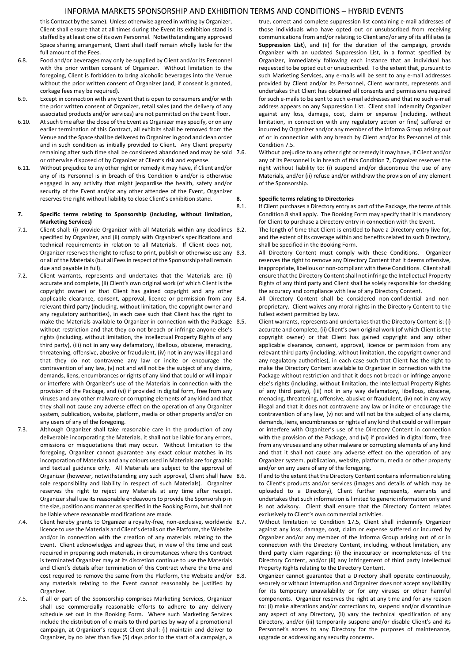this Contract by the same). Unless otherwise agreed in writing by Organizer, Client shall ensure that at all times during the Event its exhibition stand is staffed by at least one of its own Personnel. Notwithstanding any approved Space sharing arrangement, Client shall itself remain wholly liable for the full amount of the Fees.

- 6.8. Food and/or beverages may only be supplied by Client and/or its Personnel with the prior written consent of Organizer. Without limitation to the foregoing, Client is forbidden to bring alcoholic beverages into the Venue without the prior written consent of Organizer (and, if consent is granted, corkage fees may be required).
- 6.9. Except in connection with any Event that is open to consumers and/or with the prior written consent of Organizer, retail sales (and the delivery of any associated products and/or services) are not permitted on the Event floor.
- 6.10. At such time after the close of the Event as Organizer may specify, or on any earlier termination of this Contract, all exhibits shall be removed from the Venue and the Space shall be delivered to Organizer in good and clean order and in such condition as initially provided to Client. Any Client property remaining after such time shall be considered abandoned and may be sold or otherwise disposed of by Organizer at Client's risk and expense.
- 6.11. Without prejudice to any other right or remedy it may have, if Client and/or any of its Personnel is in breach of this Condition 6 and/or is otherwise engaged in any activity that might jeopardise the health, safety and/or security of the Event and/or any other attendee of the Event, Organizer reserves the right without liability to close Client's exhibition stand.
- **7. Specific terms relating to Sponsorship (including, without limitation, Marketing Services)**
- 7.1. Client shall: (i) provide Organizer with all Materials within any deadlines 8.2. specified by Organizer, and (ii) comply with Organizer's specifications and technical requirements in relation to all Materials. If Client does not, Organizer reserves the right to refuse to print, publish or otherwise use any 8.3. or all of the Materials (but all Fees in respect of the Sponsorship shall remain due and payable in full).
- 7.2. Client warrants, represents and undertakes that the Materials are: (i) accurate and complete, (ii) Client's own original work (of which Client is the copyright owner) or that Client has gained copyright and any other applicable clearance, consent, approval, licence or permission from any 8.4. relevant third party (including, without limitation, the copyright owner and any regulatory authorities), in each case such that Client has the right to make the Materials available to Organizer in connection with the Package 8.5. without restriction and that they do not breach or infringe anyone else's rights (including, without limitation, the Intellectual Property Rights of any third party), (iii) not in any way defamatory, libellous, obscene, menacing, threatening, offensive, abusive or fraudulent, (iv) not in any way illegal and that they do not contravene any law or incite or encourage the contravention of any law, (v) not and will not be the subject of any claims, demands, liens, encumbrances or rights of any kind that could or will impair or interfere with Organizer's use of the Materials in connection with the provision of the Package, and (vi) if provided in digital form, free from any viruses and any other malware or corrupting elements of any kind and that they shall not cause any adverse effect on the operation of any Organizer system, publication, website, platform, media or other property and/or on any users of any of the foregoing.
- 7.3. Although Organizer shall take reasonable care in the production of any deliverable incorporating the Materials, it shall not be liable for any errors, omissions or misquotations that may occur. Without limitation to the foregoing, Organizer cannot guarantee any exact colour matches in its incorporation of Materials and any colours used in Materials are for graphic and textual guidance only. All Materials are subject to the approval of Organizer (however, notwithstanding any such approval, Client shall have 8.6. sole responsibility and liability in respect of such Materials). Organizer reserves the right to reject any Materials at any time after receipt. Organizer shall use its reasonable endeavours to provide the Sponsorship in the size, position and manner as specified in the Booking Form, but shall not be liable where reasonable modifications are made.
- 7.4. Client hereby grants to Organizer a royalty-free, non-exclusive, worldwide 8.7. licence to use the Materials and Client's details on the Platform, the Website and/or in connection with the creation of any materials relating to the Event. Client acknowledges and agrees that, in view of the time and cost required in preparing such materials, in circumstances where this Contract is terminated Organizer may at its discretion continue to use the Materials and Client's details after termination of this Contract where the time and cost required to remove the same from the Platform, the Website and/or 8.8. any materials relating to the Event cannot reasonably be justified by Organizer.
- 7.5. If all or part of the Sponsorship comprises Marketing Services, Organizer shall use commercially reasonable efforts to adhere to any delivery schedule set out in the Booking Form. Where such Marketing Services include the distribution of e-mails to third parties by way of a promotional campaign, at Organizer's request Client shall: (i) maintain and deliver to Organizer, by no later than five (5) days prior to the start of a campaign, a

true, correct and complete suppression list containing e-mail addresses of those individuals who have opted out or unsubscribed from receiving communications from and/or relating to Client and/or any of its affiliates (a **Suppression List**), and (ii) for the duration of the campaign, provide Organizer with an updated Suppression List, in a format specified by Organizer, immediately following each instance that an individual has requested to be opted out or unsubscribed. To the extent that, pursuant to such Marketing Services, any e-mails will be sent to any e-mail addresses provided by Client and/or its Personnel, Client warrants, represents and undertakes that Client has obtained all consents and permissions required for such e-mails to be sent to such e-mail addresses and that no such e-mail address appears on any Suppression List. Client shall indemnify Organizer against any loss, damage, cost, claim or expense (including, without limitation, in connection with any regulatory action or fine) suffered or incurred by Organizer and/or any member of the Informa Group arising out of or in connection with any breach by Client and/or its Personnel of this Condition 7.5.

7.6. Without prejudice to any other right or remedy it may have, if Client and/or any of its Personnel is in breach of this Condition 7, Organizer reserves the right without liability to: (i) suspend and/or discontinue the use of any Materials, and/or (ii) refuse and/or withdraw the provision of any element of the Sponsorship.

## **8. Specific terms relating to Directories**

8.1. If Client purchases a Directory entry as part of the Package, the terms of this Condition 8 shall apply. The Booking Form may specify that it is mandatory for Client to purchase a Directory entry in connection with the Event.

The length of time that Client is entitled to have a Directory entry live for, and the extent of its coverage within and benefits related to such Directory, shall be specified in the Booking Form.

- All Directory Content must comply with these Conditions. Organizer reserves the right to remove any Directory Content that it deems offensive, inappropriate, libellous or non-compliant with these Conditions. Client shall ensure that the Directory Content shall not infringe the Intellectual Property Rights of any third party and Client shall be solely responsible for checking the accuracy and compliance with law of any Directory Content.
- 8.4. All Directory Content shall be considered non-confidential and nonproprietary. Client waives any moral rights in the Directory Content to the fullest extent permitted by law.
- 8.5. Client warrants, represents and undertakes that the Directory Content is: (i) accurate and complete, (ii) Client's own original work (of which Client is the copyright owner) or that Client has gained copyright and any other applicable clearance, consent, approval, licence or permission from any relevant third party (including, without limitation, the copyright owner and any regulatory authorities), in each case such that Client has the right to make the Directory Content available to Organizer in connection with the Package without restriction and that it does not breach or infringe anyone else's rights (including, without limitation, the Intellectual Property Rights of any third party), (iii) not in any way defamatory, libellous, obscene, menacing, threatening, offensive, abusive or fraudulent, (iv) not in any way illegal and that it does not contravene any law or incite or encourage the contravention of any law, (v) not and will not be the subject of any claims, demands, liens, encumbrances or rights of any kind that could or will impair or interfere with Organizer's use of the Directory Content in connection with the provision of the Package, and (vi) if provided in digital form, free from any viruses and any other malware or corrupting elements of any kind and that it shall not cause any adverse effect on the operation of any Organizer system, publication, website, platform, media or other property and/or on any users of any of the foregoing.

8.6. If and to the extent that the Directory Content contains information relating to Client's products and/or services (images and details of which may be uploaded to a Directory), Client further represents, warrants and undertakes that such information is limited to generic information only and is not advisory. Client shall ensure that the Directory Content relates exclusively to Client's own commercial activities.

Without limitation to Condition 17.5, Client shall indemnify Organizer against any loss, damage, cost, claim or expense suffered or incurred by Organizer and/or any member of the Informa Group arising out of or in connection with the Directory Content, including, without limitation, any third party claim regarding: (i) the inaccuracy or incompleteness of the Directory Content, and/or (ii) any infringement of third party Intellectual Property Rights relating to the Directory Content.

Organizer cannot guarantee that a Directory shall operate continuously, securely or without interruption and Organizer does not accept any liability for its temporary unavailability or for any viruses or other harmful components. Organizer reserves the right at any time and for any reason to: (i) make alterations and/or corrections to, suspend and/or discontinue any aspect of any Directory, (ii) vary the technical specification of any Directory, and/or (iii) temporarily suspend and/or disable Client's and its Personnel's access to any Directory for the purposes of maintenance, upgrade or addressing any security concerns.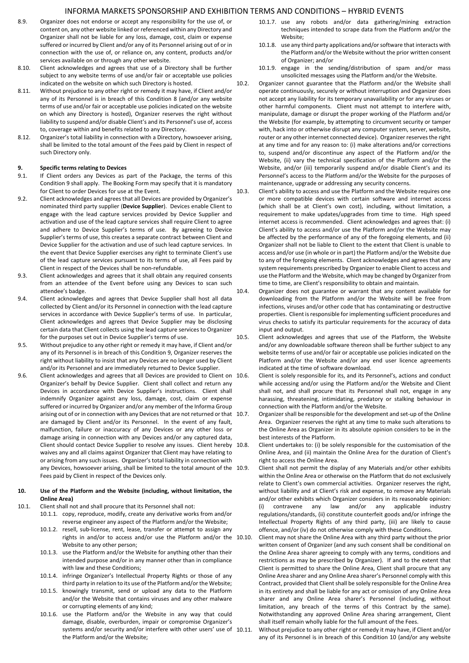- 8.9. Organizer does not endorse or accept any responsibility for the use of, or content on, any other website linked or referenced within any Directory and Organizer shall not be liable for any loss, damage, cost, claim or expense suffered or incurred by Client and/or any of its Personnel arising out of or in connection with the use of, or reliance on, any content, products and/or services available on or through any other website.
- 8.10. Client acknowledges and agrees that use of a Directory shall be further subject to any website terms of use and/or fair or acceptable use policies indicated on the website on which such Directory is hosted.
- 8.11. Without prejudice to any other right or remedy it may have, if Client and/or any of its Personnel is in breach of this Condition 8 (and/or any website terms of use and/or fair or acceptable use policies indicated on the website on which any Directory is hosted), Organizer reserves the right without liability to suspend and/or disable Client's and its Personnel's use of, access to, coverage within and benefits related to any Directory.
- 8.12. Organizer's total liability in connection with a Directory, howsoever arising, shall be limited to the total amount of the Fees paid by Client in respect of such Directory only.

# **9. Specific terms relating to Devices**

- If Client orders any Devices as part of the Package, the terms of this Condition 9 shall apply. The Booking Form may specify that it is mandatory for Client to order Devices for use at the Event.
- 9.2. Client acknowledges and agrees that all Devices are provided by Organizer's nominated third party supplier (**Device Supplier**). Devices enable Client to engage with the lead capture services provided by Device Supplier and activation and use of the lead capture services shall require Client to agree and adhere to Device Supplier's terms of use. By agreeing to Device Supplier's terms of use, this creates a separate contract between Client and Device Supplier for the activation and use of such lead capture services. In the event that Device Supplier exercises any right to terminate Client's use of the lead capture services pursuant to its terms of use, all Fees paid by Client in respect of the Devices shall be non-refundable.
- 9.3. Client acknowledges and agrees that it shall obtain any required consents from an attendee of the Event before using any Devices to scan such attendee's badge.
- 9.4. Client acknowledges and agrees that Device Supplier shall host all data collected by Client and/or its Personnel in connection with the lead capture services in accordance with Device Supplier's terms of use. In particular, Client acknowledges and agrees that Device Supplier may be disclosing certain data that Client collects using the lead capture services to Organizer for the purposes set out in Device Supplier's terms of use.
- 9.5. Without prejudice to any other right or remedy it may have, if Client and/or any of its Personnel is in breach of this Condition 9, Organizer reserves the right without liability to insist that any Devices are no longer used by Client and/or its Personnel and are immediately returned to Device Supplier.
- 9.6. Client acknowledges and agrees that all Devices are provided to Client on 10.6. Organizer's behalf by Device Supplier. Client shall collect and return any Devices in accordance with Device Supplier's instructions. Client shall indemnify Organizer against any loss, damage, cost, claim or expense suffered or incurred by Organizer and/or any member of the Informa Group arising out of or in connection with any Devices that are not returned or that 10.7. are damaged by Client and/or its Personnel. In the event of any fault, malfunction, failure or inaccuracy of any Devices or any other loss or damage arising in connection with any Devices and/or any captured data, Client should contact Device Supplier to resolve any issues. Client hereby 10.8. waives any and all claims against Organizer that Client may have relating to or arising from any such issues. Organizer's total liability in connection with any Devices, howsoever arising, shall be limited to the total amount of the 10.9. Fees paid by Client in respect of the Devices only.

## **10. Use of the Platform and the Website (including, without limitation, the Online Area)**

- 10.1. Client shall not and shall procure that its Personnel shall not:
	- 10.1.1. copy, reproduce, modify, create any derivative works from and/or reverse engineer any aspect of the Platform and/or the Website;
		- 10.1.2. resell, sub-license, rent, lease, transfer or attempt to assign any rights in and/or to access and/or use the Platform and/or the 10.10. Website to any other person;
		- 10.1.3. use the Platform and/or the Website for anything other than their intended purpose and/or in any manner other than in compliance with law and these Conditions;
		- 10.1.4. infringe Organizer's Intellectual Property Rights or those of any third party in relation to its use of the Platform and/or the Website;
		- 10.1.5. knowingly transmit, send or upload any data to the Platform and/or the Website that contains viruses and any other malware or corrupting elements of any kind;
		- 10.1.6. use the Platform and/or the Website in any way that could damage, disable, overburden, impair or compromise Organizer's systems and/or security and/or interfere with other users' use of 10.11. the Platform and/or the Website;
- 10.1.7. use any robots and/or data gathering/mining extraction techniques intended to scrape data from the Platform and/or the Website;
- 10.1.8. use any third party applications and/or software that interacts with the Platform and/or the Website without the prior written consent of Organizer; and/or
- 10.1.9. engage in the sending/distribution of spam and/or mass unsolicited messages using the Platform and/or the Website.
- 10.2. Organizer cannot guarantee that the Platform and/or the Website shall operate continuously, securely or without interruption and Organizer does not accept any liability for its temporary unavailability or for any viruses or other harmful components. Client must not attempt to interfere with, manipulate, damage or disrupt the proper working of the Platform and/or the Website (for example, by attempting to circumvent security or tamper with, hack into or otherwise disrupt any computer system, server, website, router or any other internet connected device). Organizer reserves the right at any time and for any reason to: (i) make alterations and/or corrections to, suspend and/or discontinue any aspect of the Platform and/or the Website, (ii) vary the technical specification of the Platform and/or the Website, and/or (iii) temporarily suspend and/or disable Client's and its Personnel's access to the Platform and/or the Website for the purposes of maintenance, upgrade or addressing any security concerns.
- 10.3. Client's ability to access and use the Platform and the Website requires one or more compatible devices with certain software and internet access (which shall be at Client's own cost), including, without limitation, a requirement to make updates/upgrades from time to time. High speed internet access is recommended. Client acknowledges and agrees that: (i) Client's ability to access and/or use the Platform and/or the Website may be affected by the performance of any of the foregoing elements, and (ii) Organizer shall not be liable to Client to the extent that Client is unable to access and/or use (in whole or in part) the Platform and/or the Website due to any of the foregoing elements. Client acknowledges and agrees that any system requirements prescribed by Organizer to enable Client to access and use the Platform and the Website, which may be changed by Organizer from time to time, are Client's responsibility to obtain and maintain.
- 10.4. Organizer does not guarantee or warrant that any content available for downloading from the Platform and/or the Website will be free from infections, viruses and/or other code that has contaminating or destructive properties. Client is responsible for implementing sufficient procedures and virus checks to satisfy its particular requirements for the accuracy of data input and output.
- 10.5. Client acknowledges and agrees that use of the Platform, the Website and/or any downloadable software thereon shall be further subject to any website terms of use and/or fair or acceptable use policies indicated on the Platform and/or the Website and/or any end user licence agreements indicated at the time of software download.
	- Client is solely responsible for its, and its Personnel's, actions and conduct while accessing and/or using the Platform and/or the Website and Client shall not, and shall procure that its Personnel shall not, engage in any harassing, threatening, intimidating, predatory or stalking behaviour in connection with the Platform and/or the Website.
	- 10.7. Organizer shall be responsible for the development and set-up of the Online Area. Organizer reserves the right at any time to make such alterations to the Online Area as Organizer in its absolute opinion considers to be in the best interests of the Platform.
	- Client undertakes to: (i) be solely responsible for the customisation of the Online Area, and (ii) maintain the Online Area for the duration of Client's right to access the Online Area.
	- Client shall not permit the display of any Materials and/or other exhibits within the Online Area or otherwise on the Platform that do not exclusively relate to Client's own commercial activities. Organizer reserves the right, without liability and at Client's risk and expense, to remove any Materials and/or other exhibits which Organizer considers in its reasonable opinion: (i) contravene any law and/or any applicable industry regulations/standards, (ii) constitute counterfeit goods and/or infringe the Intellectual Property Rights of any third party, (iii) are likely to cause offence, and/or (iv) do not otherwise comply with these Conditions.
	- Client may not share the Online Area with any third party without the prior written consent of Organizer (and any such consent shall be conditional on the Online Area sharer agreeing to comply with any terms, conditions and restrictions as may be prescribed by Organizer). If and to the extent that Client is permitted to share the Online Area, Client shall procure that any Online Area sharer and any Online Area sharer's Personnel comply with this Contract, provided that Client shall be solely responsible for the Online Area in its entirety and shall be liable for any act or omission of any Online Area sharer and any Online Area sharer's Personnel (including, without limitation, any breach of the terms of this Contract by the same). Notwithstanding any approved Online Area sharing arrangement, Client shall itself remain wholly liable for the full amount of the Fees.
	- 10.11. Without prejudice to any other right or remedy it may have, if Client and/or any of its Personnel is in breach of this Condition 10 (and/or any website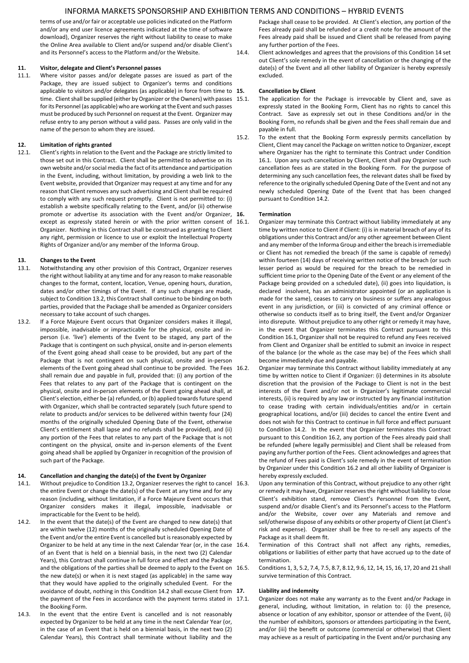terms of use and/or fair or acceptable use policies indicated on the Platform and/or any end user licence agreements indicated at the time of software download), Organizer reserves the right without liability to cease to make the Online Area available to Client and/or suspend and/or disable Client's and its Personnel's access to the Platform and/or the Website.

## **11. Visitor, delegate and Client's Personnel passes**

11.1. Where visitor passes and/or delegate passes are issued as part of the Package, they are issued subject to Organizer's terms and conditions applicable to visitors and/or delegates (as applicable) in force from time to 15. time. Client shall be supplied (either by Organizer or the Owners) with passes 15.1. for its Personnel (as applicable) who are working at the Event and such passes must be produced by such Personnel on request at the Event. Organizer may refuse entry to any person without a valid pass. Passes are only valid in the name of the person to whom they are issued.

# **12. Limitation of rights granted**

12.1. Client's rights in relation to the Event and the Package are strictly limited to those set out in this Contract. Client shall be permitted to advertise on its own website and/or social media the fact of its attendance and participation in the Event, including, without limitation, by providing a web link to the Event website, provided that Organizer may request at any time and for any reason that Client removes any such advertising and Client shall be required to comply with any such request promptly. Client is not permitted to: (i) establish a website specifically relating to the Event, and/or (ii) otherwise promote or advertise its association with the Event and/or Organizer, 16. except as expressly stated herein or with the prior written consent of 16.1. Organizer. Nothing in this Contract shall be construed as granting to Client any right, permission or licence to use or exploit the Intellectual Property Rights of Organizer and/or any member of the Informa Group.

# **13. Changes to the Event**

- 13.1. Notwithstanding any other provision of this Contract, Organizer reserves the right without liability at any time and for any reason to make reasonable changes to the format, content, location, Venue, opening hours, duration, dates and/or other timings of the Event. If any such changes are made, subject to Condition 13.2, this Contract shall continue to be binding on both parties, provided that the Package shall be amended as Organizer considers necessary to take account of such changes.
- 13.2. If a Force Majeure Event occurs that Organizer considers makes it illegal, impossible, inadvisable or impracticable for the physical, onsite and inperson (i.e. 'live') elements of the Event to be staged, any part of the Package that is contingent on such physical, onsite and in-person elements of the Event going ahead shall cease to be provided, but any part of the Package that is not contingent on such physical, onsite and in-person elements of the Event going ahead shall continue to be provided. The Fees 16.2. shall remain due and payable in full, provided that: (i) any portion of the Fees that relates to any part of the Package that is contingent on the physical, onsite and in-person elements of the Event going ahead shall, at Client's election, either be (a) refunded, or (b) applied towards future spend with Organizer, which shall be contracted separately (such future spend to relate to products and/or services to be delivered within twenty four (24) months of the originally scheduled Opening Date of the Event, otherwise Client's entitlement shall lapse and no refunds shall be provided), and (ii) any portion of the Fees that relates to any part of the Package that is not contingent on the physical, onsite and in-person elements of the Event going ahead shall be applied by Organizer in recognition of the provision of such part of the Package.

# **14. Cancellation and changing the date(s) of the Event by Organizer**

- 14.1. Without prejudice to Condition 13.2, Organizer reserves the right to cancel 16.3. the entire Event or change the date(s) of the Event at any time and for any reason (including, without limitation, if a Force Majeure Event occurs that Organizer considers makes it illegal, impossible, inadvisable or impracticable for the Event to be held).
- 14.2. In the event that the date(s) of the Event are changed to new date(s) that are within twelve (12) months of the originally scheduled Opening Date of the Event and/or the entire Event is cancelled but is reasonably expected by Organizer to be held at any time in the next Calendar Year (or, in the case 16.4. of an Event that is held on a biennial basis, in the next two (2) Calendar Years), this Contract shall continue in full force and effect and the Package and the obligations of the parties shall be deemed to apply to the Event on 16.5. the new date(s) or when it is next staged (as applicable) in the same way that they would have applied to the originally scheduled Event. For the avoidance of doubt, nothing in this Condition 14.2 shall excuse Client from 17. the payment of the Fees in accordance with the payment terms stated in 17.1. the Booking Form.
- 14.3. In the event that the entire Event is cancelled and is not reasonably expected by Organizer to be held at any time in the next Calendar Year (or, in the case of an Event that is held on a biennial basis, in the next two (2) Calendar Years), this Contract shall terminate without liability and the

Package shall cease to be provided. At Client's election, any portion of the Fees already paid shall be refunded or a credit note for the amount of the Fees already paid shall be issued and Client shall be released from paying any further portion of the Fees.

14.4. Client acknowledges and agrees that the provisions of this Condition 14 set out Client's sole remedy in the event of cancellation or the changing of the date(s) of the Event and all other liability of Organizer is hereby expressly excluded.

# **15. Cancellation by Client**

- The application for the Package is irrevocable by Client and, save as expressly stated in the Booking Form, Client has no rights to cancel this Contract. Save as expressly set out in these Conditions and/or in the Booking Form, no refunds shall be given and the Fees shall remain due and payable in full.
- 15.2. To the extent that the Booking Form expressly permits cancellation by Client, Client may cancel the Package on written notice to Organizer, except where Organizer has the right to terminate this Contract under Condition 16.1. Upon any such cancellation by Client, Client shall pay Organizer such cancellation fees as are stated in the Booking Form. For the purpose of determining any such cancellation fees, the relevant dates shall be fixed by reference to the originally scheduled Opening Date of the Event and not any newly scheduled Opening Date of the Event that has been changed pursuant to Condition 14.2.

#### **16. Termination**

- Organizer may terminate this Contract without liability immediately at any time by written notice to Client if Client: (i) is in material breach of any of its obligations under this Contract and/or any other agreement between Client and any member of the Informa Group and either the breach is irremediable or Client has not remedied the breach (if the same is capable of remedy) within fourteen (14) days of receiving written notice of the breach (or such lesser period as would be required for the breach to be remedied in sufficient time prior to the Opening Date of the Event or any element of the Package being provided on a scheduled date), (ii) goes into liquidation, is declared insolvent, has an administrator appointed (or an application is made for the same), ceases to carry on business or suffers any analogous event in any jurisdiction, or (iii) is convicted of any criminal offence or otherwise so conducts itself as to bring itself, the Event and/or Organizer into disrepute. Without prejudice to any other right or remedy it may have, in the event that Organizer terminates this Contract pursuant to this Condition 16.1, Organizer shall not be required to refund any Fees received from Client and Organizer shall be entitled to submit an invoice in respect of the balance (or the whole as the case may be) of the Fees which shall become immediately due and payable.
- Organizer may terminate this Contract without liability immediately at any time by written notice to Client if Organizer: (i) determines in its absolute discretion that the provision of the Package to Client is not in the best interests of the Event and/or not in Organizer's legitimate commercial interests, (ii) is required by any law or instructed by any financial institution to cease trading with certain individuals/entities and/or in certain geographical locations, and/or (iii) decides to cancel the entire Event and does not wish for this Contract to continue in full force and effect pursuant to Condition 14.2. In the event that Organizer terminates this Contract pursuant to this Condition 16.2, any portion of the Fees already paid shall be refunded (where legally permissible) and Client shall be released from paying any further portion of the Fees. Client acknowledges and agrees that the refund of Fees paid is Client's sole remedy in the event of termination by Organizer under this Condition 16.2 and all other liability of Organizer is hereby expressly excluded.
- Upon any termination of this Contract, without prejudice to any other right or remedy it may have, Organizer reserves the right without liability to close Client's exhibition stand, remove Client's Personnel from the Event, suspend and/or disable Client's and its Personnel's access to the Platform and/or the Website, cover over any Materials and remove and sell/otherwise dispose of any exhibits or other property of Client (at Client's risk and expense). Organizer shall be free to re-sell any aspects of the Package as it shall deem fit.
- Termination of this Contract shall not affect any rights, remedies, obligations or liabilities of either party that have accrued up to the date of termination.
- Conditions 1, 3, 5.2, 7.4, 7.5, 8.7, 8.12, 9.6, 12, 14, 15, 16, 17, 20 and 21 shall survive termination of this Contract.

## **17. Liability and indemnity**

Organizer does not make any warranty as to the Event and/or Package in general, including, without limitation, in relation to: (i) the presence, absence or location of any exhibitor, sponsor or attendee of the Event, (ii) the number of exhibitors, sponsors or attendees participating in the Event, and/or (iii) the benefit or outcome (commercial or otherwise) that Client may achieve as a result of participating in the Event and/or purchasing any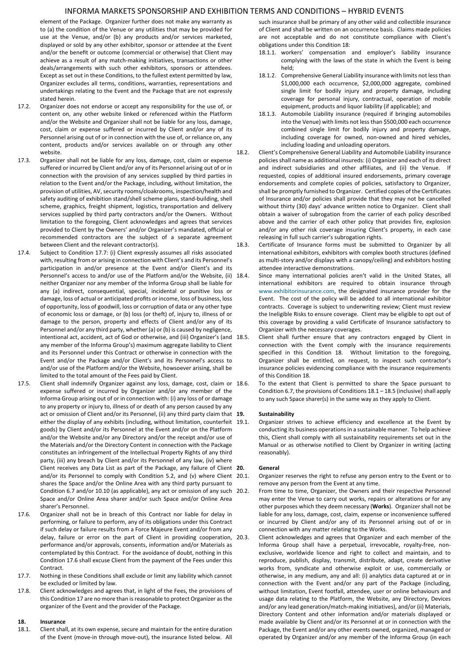element of the Package. Organizer further does not make any warranty as to (a) the condition of the Venue or any utilities that may be provided for use at the Venue, and/or (b) any products and/or services marketed, displayed or sold by any other exhibitor, sponsor or attendee at the Event and/or the benefit or outcome (commercial or otherwise) that Client may achieve as a result of any match-making initiatives, transactions or other deals/arrangements with such other exhibitors, sponsors or attendees. Except as set out in these Conditions, to the fullest extent permitted by law, Organizer excludes all terms, conditions, warranties, representations and undertakings relating to the Event and the Package that are not expressly stated herein.

- 17.2. Organizer does not endorse or accept any responsibility for the use of, or content on, any other website linked or referenced within the Platform and/or the Website and Organizer shall not be liable for any loss, damage, cost, claim or expense suffered or incurred by Client and/or any of its Personnel arising out of or in connection with the use of, or reliance on, any content, products and/or services available on or through any other website.
- 17.3. Organizer shall not be liable for any loss, damage, cost, claim or expense suffered or incurred by Client and/or any of its Personnel arising out of or in connection with the provision of any services supplied by third parties in relation to the Event and/or the Package, including, without limitation, the provision of utilities, AV, security rooms/cloakrooms, inspection/health and safety auditing of exhibition stand/shell scheme plans, stand-building, shell scheme, graphics, freight shipment, logistics, transportation and delivery services supplied by third party contractors and/or the Owners. Without limitation to the foregoing, Client acknowledges and agrees that services provided to Client by the Owners' and/or Organizer's mandated, official or recommended contractors are the subject of a separate agreement between Client and the relevant contractor(s).
- 17.4. Subject to Condition 17.7: (i) Client expressly assumes all risks associated with, resulting from or arising in connection with Client's and its Personnel's participation in and/or presence at the Event and/or Client's and its Personnel's access to and/or use of the Platform and/or the Website, (ii) 18.4. neither Organizer nor any member of the Informa Group shall be liable for any (a) indirect, consequential, special, incidental or punitive loss or damage, loss of actual or anticipated profits or income, loss of business, loss of opportunity, loss of goodwill, loss or corruption of data or any other type of economic loss or damage, or (b) loss (or theft) of, injury to, illness of or damage to the person, property and effects of Client and/or any of its Personnel and/or any third party, whether (a) or (b) is caused by negligence, intentional act, accident, act of God or otherwise, and (iii) Organizer's (and 18.5. any member of the Informa Group's) maximum aggregate liability to Client and its Personnel under this Contract or otherwise in connection with the Event and/or the Package and/or Client's and its Personnel's access to and/or use of the Platform and/or the Website, howsoever arising, shall be limited to the total amount of the Fees paid by Client.
- 17.5. Client shall indemnify Organizer against any loss, damage, cost, claim or 18.6. expense suffered or incurred by Organizer and/or any member of the Informa Group arising out of or in connection with: (i) any loss of or damage to any property or injury to, illness of or death of any person caused by any act or omission of Client and/or its Personnel, (ii) any third party claim that 19. either the display of any exhibits (including, without limitation, counterfeit 19.1. goods) by Client and/or its Personnel at the Event and/or on the Platform and/or the Website and/or any Directory and/or the receipt and/or use of the Materials and/or the Directory Content in connection with the Package constitutes an infringement of the Intellectual Property Rights of any third party, (iii) any breach by Client and/or its Personnel of any law, (iv) where Client receives any Data List as part of the Package, any failure of Client 20. and/or its Personnel to comply with Condition 5.2, and (v) where Client 20.1. shares the Space and/or the Online Area with any third party pursuant to Condition 6.7 and/or 10.10 (as applicable), any act or omission of any such 20.2. Space and/or Online Area sharer and/or such Space and/or Online Area sharer's Personnel.
- 17.6. Organizer shall not be in breach of this Contract nor liable for delay in performing, or failure to perform, any of its obligations under this Contract if such delay or failure results from a Force Majeure Event and/or from any delay, failure or error on the part of Client in providing cooperation, 20.3. performance and/or approvals, consents, information and/or Materials as contemplated by this Contract. For the avoidance of doubt, nothing in this Condition 17.6 shall excuse Client from the payment of the Fees under this Contract.
- 17.7. Nothing in these Conditions shall exclude or limit any liability which cannot be excluded or limited by law.
- 17.8. Client acknowledges and agrees that, in light of the Fees, the provisions of this Condition 17 are no more than is reasonable to protect Organizer as the organizer of the Event and the provider of the Package.

# **18. Insurance**

18.1. Client shall, at its own expense, secure and maintain for the entire duration of the Event (move-in through move-out), the insurance listed below. All such insurance shall be primary of any other valid and collectible insurance of Client and shall be written on an occurrence basis. Claims made policies are not acceptable and do not constitute compliance with Client's obligations under this Condition 18:

- 18.1.1. workers' compensation and employer's liability insurance complying with the laws of the state in which the Event is being held;
- 18.1.2. Comprehensive General Liability insurance with limits not less than \$1,000,000 each occurrence, \$2,000,000 aggregate, combined single limit for bodily injury and property damage, including coverage for personal injury, contractual, operation of mobile equipment, products and liquor liability (if applicable); and
- 18.1.3. Automobile Liability insurance (required if bringing automobiles into the Venue) with limits not less than \$500,000 each occurrence combined single limit for bodily injury and property damage, including coverage for owned, non-owned and hired vehicles, including loading and unloading operators.
- 18.2. Client's Comprehensive General Liability and Automobile Liability insurance policies shall name as additional insureds: (i) Organizer and each of its direct and indirect subsidiaries and other affiliates, and (ii) the Venue. If requested, copies of additional insured endorsements, primary coverage endorsements and complete copies of policies, satisfactory to Organizer, shall be promptly furnished to Organizer. Certified copies of the Certificates of Insurance and/or policies shall provide that they may not be cancelled without thirty (30) days' advance written notice to Organizer. Client shall obtain a waiver of subrogation from the carrier of each policy described above and the carrier of each other policy that provides fire, explosion and/or any other risk coverage insuring Client's property, in each case releasing in full such carrier's subrogation rights.
- 18.3. Certificate of Insurance forms must be submitted to Organizer by all international exhibitors, exhibitors with complex booth structures (defined as multi-story and/or displays with a canopy/ceiling) and exhibitors hosting attendee interactive demonstrations.
	- Since many international policies aren't valid in the United States, all international exhibitors are required to obtain insurance through [www.exhibitorinsurance.com,](http://www.exhibitorinsurance.com/) the designated insurance provider for the Event. The cost of the policy will be added to all international exhibitor contracts. Coverage is subject to underwriting review; Client must review the Ineligible Risks to ensure coverage. Client may be eligible to opt out of this coverage by providing a valid Certificate of Insurance satisfactory to Organizer with the necessary coverages.
	- Client shall further ensure that any contractors engaged by Client in connection with the Event comply with the insurance requirements specified in this Condition 18. Without limitation to the foregoing, Organizer shall be entitled, on request, to inspect such contractor's insurance policies evidencing compliance with the insurance requirements of this Condition 18.
	- To the extent that Client is permitted to share the Space pursuant to Condition 6.7, the provisions of Conditions 18.1 – 18.5 (inclusive) shall apply to any such Space sharer(s) in the same way as they apply to Client.

#### **19. Sustainability**

Organizer strives to achieve efficiency and excellence at the Event by conducting its business operations in a sustainable manner. To help achieve this, Client shall comply with all sustainability requirements set out in the Manual or as otherwise notified to Client by Organizer in writing (acting reasonably).

#### **20. General**

Organizer reserves the right to refuse any person entry to the Event or to remove any person from the Event at any time.

- From time to time, Organizer, the Owners and their respective Personnel may enter the Venue to carry out works, repairs or alterations or for any other purposes which they deem necessary (**Works**). Organizer shall not be liable for any loss, damage, cost, claim, expense or inconvenience suffered or incurred by Client and/or any of its Personnel arising out of or in connection with any matter relating to the Works.
- Client acknowledges and agrees that Organizer and each member of the Informa Group shall have a perpetual, irrevocable, royalty-free, nonexclusive, worldwide licence and right to collect and maintain, and to reproduce, publish, display, transmit, distribute, adapt, create derivative works from, syndicate and otherwise exploit or use, commercially or otherwise, in any medium, any and all: (i) analytics data captured at or in connection with the Event and/or any part of the Package (including, without limitation, Event footfall, attendee, user or online behaviours and usage data relating to the Platform, the Website, any Directory, Devices and/or any lead generation/match-making initiatives), and/or (ii) Materials, Directory Content and other information and/or materials displayed or made available by Client and/or its Personnel at or in connection with the Package, the Event and/or any other events owned, organized, managed or operated by Organizer and/or any member of the Informa Group (in each